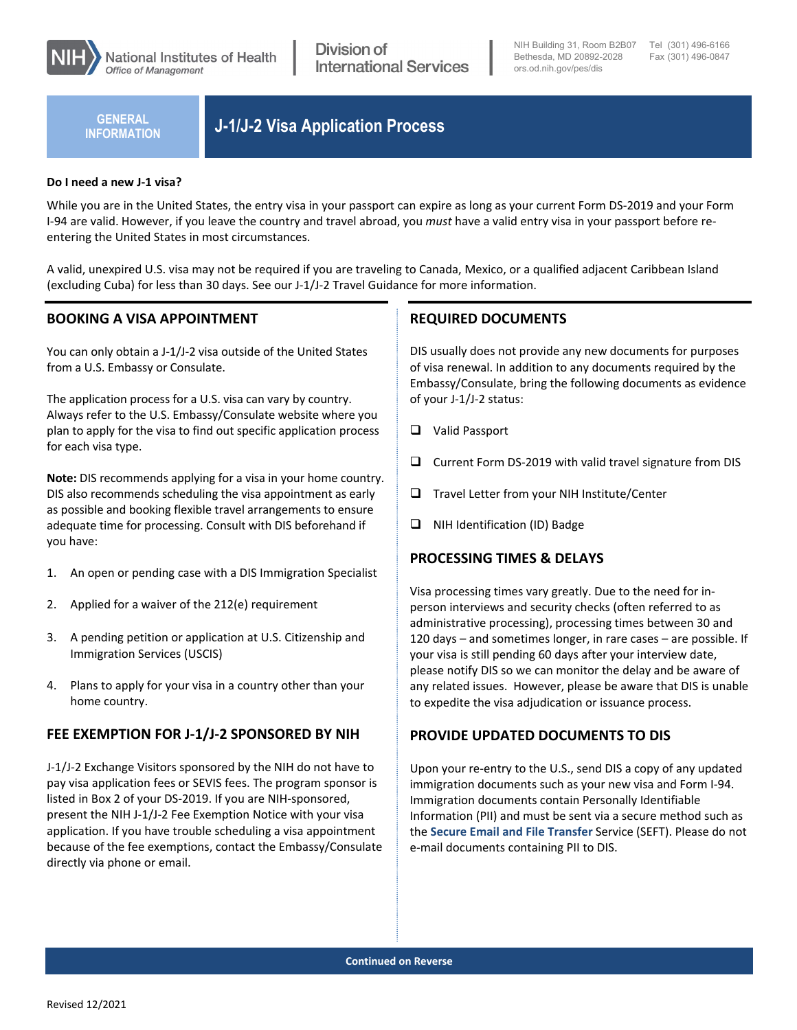

**INFORMATION**

# **J-1/J-2 Visa Application Process GENERAL**

#### **Do I need a new J-1 visa?**

While you are in the United States, the entry visa in your passport can expire as long as your current Form DS-2019 and your Form I-94 are valid. However, if you leave the country and travel abroad, you *must* have a valid entry visa in your passport before reentering the United States in most circumstances.

A valid, unexpired U.S. visa may not be required if you are traveling to Canada, Mexico, or a qualified adjacent Caribbean Island (excluding Cuba) for less than 30 days. See our J-1/J-2 Travel Guidance for more information.

### **BOOKING A VISA APPOINTMENT**

You can only obtain a J-1/J-2 visa outside of the United States from a U.S. Embassy or Consulate.

The application process for a U.S. visa can vary by country. Always refer to the U.S. Embassy/Consulate website where you plan to apply for the visa to find out specific application process for each visa type.

**Note:** DIS recommends applying for a visa in your home country. DIS also recommends scheduling the visa appointment as early as possible and booking flexible travel arrangements to ensure adequate time for processing. Consult with DIS beforehand if you have:

- 1. An open or pending case with a DIS Immigration Specialist
- 2. Applied for a waiver of the 212(e) requirement
- 3. A pending petition or application at U.S. Citizenship and Immigration Services (USCIS)
- 4. Plans to apply for your visa in a country other than your home country.

### **FEE EXEMPTION FOR J-1/J-2 SPONSORED BY NIH**

J-1/J-2 Exchange Visitors sponsored by the NIH do not have to pay visa application fees or SEVIS fees. The program sponsor is listed in Box 2 of your DS-2019. If you are NIH-sponsored, present the NIH J-1/J-2 Fee Exemption Notice with your visa application. If you have trouble scheduling a visa appointment because of the fee exemptions, contact the Embassy/Consulate directly via phone or email.

### **REQUIRED DOCUMENTS**

DIS usually does not provide any new documents for purposes of visa renewal. In addition to any documents required by the Embassy/Consulate, bring the following documents as evidence of your J-1/J-2 status:

- Valid Passport
- $\Box$  Current Form DS-2019 with valid travel signature from DIS
- $\Box$  Travel Letter from your NIH Institute/Center
- $\Box$  NIH Identification (ID) Badge

### **PROCESSING TIMES & DELAYS**

Visa processing times vary greatly. Due to the need for inperson interviews and security checks (often referred to as administrative processing), processing times between 30 and 120 days – and sometimes longer, in rare cases – are possible. If your visa is still pending 60 days after your interview date, please notify DIS so we can monitor the delay and be aware of any related issues. However, please be aware that DIS is unable to expedite the visa adjudication or issuance process.

#### **PROVIDE UPDATED DOCUMENTS TO DIS**

Upon your re-entry to the U.S., send DIS a copy of any updated immigration documents such as your new visa and Form I-94. Immigration documents contain Personally Identifiable Information (PII) and must be sent via a secure method such as the **[Secure Email and File Transfer](https://secureemail.nih.gov/bds/Login.do)** Service (SEFT). Please do not e-mail documents containing PII to DIS.